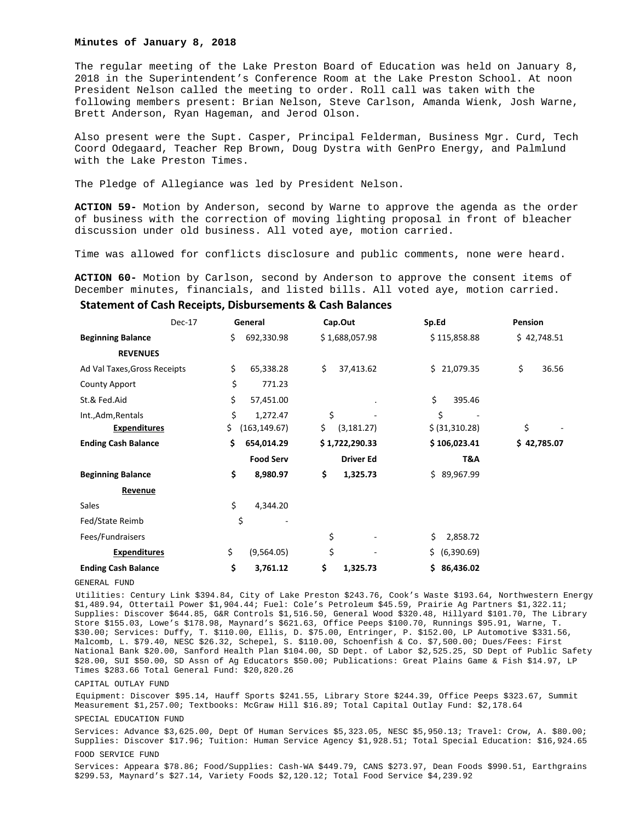### **Minutes of January 8, 2018**

The regular meeting of the Lake Preston Board of Education was held on January 8, 2018 in the Superintendent's Conference Room at the Lake Preston School. At noon President Nelson called the meeting to order. Roll call was taken with the following members present: Brian Nelson, Steve Carlson, Amanda Wienk, Josh Warne, Brett Anderson, Ryan Hageman, and Jerod Olson.

Also present were the Supt. Casper, Principal Felderman, Business Mgr. Curd, Tech Coord Odegaard, Teacher Rep Brown, Doug Dystra with GenPro Energy, and Palmlund with the Lake Preston Times.

The Pledge of Allegiance was led by President Nelson.

**ACTION 59-** Motion by Anderson, second by Warne to approve the agenda as the order of business with the correction of moving lighting proposal in front of bleacher discussion under old business. All voted aye, motion carried.

Time was allowed for conflicts disclosure and public comments, none were heard.

**ACTION 60-** Motion by Carlson, second by Anderson to approve the consent items of December minutes, financials, and listed bills. All voted aye, motion carried.

## **Statement of Cash Receipts, Disbursements & Cash Balances**

|                              | Dec-17 | General |                  | Cap.Out           |     | Sp.Ed          |    | Pension     |  |
|------------------------------|--------|---------|------------------|-------------------|-----|----------------|----|-------------|--|
| <b>Beginning Balance</b>     |        | \$      | 692,330.98       | \$1,688,057.98    |     | \$115,858.88   |    | \$42,748.51 |  |
| <b>REVENUES</b>              |        |         |                  |                   |     |                |    |             |  |
| Ad Val Taxes, Gross Receipts |        | \$      | 65,338.28        | \$<br>37,413.62   |     | \$21,079.35    | \$ | 36.56       |  |
| <b>County Apport</b>         |        | \$      | 771.23           |                   |     |                |    |             |  |
| St.& Fed.Aid                 |        | \$      | 57,451.00        |                   | \$  | 395.46         |    |             |  |
| Int., Adm, Rentals           |        | \$      | 1,272.47         | \$                |     | \$             |    |             |  |
| <b>Expenditures</b>          |        | \$.     | (163, 149.67)    | \$<br>(3, 181.27) |     | \$ (31,310.28) | \$ |             |  |
| <b>Ending Cash Balance</b>   |        | \$      | 654,014.29       | \$1,722,290.33    |     | \$106,023.41   |    | \$42,785.07 |  |
|                              |        |         | <b>Food Serv</b> | <b>Driver Ed</b>  |     | T&A            |    |             |  |
| <b>Beginning Balance</b>     |        | \$      | 8,980.97         | \$<br>1,325.73    |     | \$89,967.99    |    |             |  |
| <b>Revenue</b>               |        |         |                  |                   |     |                |    |             |  |
| Sales                        |        | \$      | 4,344.20         |                   |     |                |    |             |  |
| Fed/State Reimb              |        | \$      |                  |                   |     |                |    |             |  |
| Fees/Fundraisers             |        |         |                  | \$                | \$  | 2,858.72       |    |             |  |
| <b>Expenditures</b>          |        | \$      | (9,564.05)       | \$                | \$. | (6,390.69)     |    |             |  |
| <b>Ending Cash Balance</b>   |        | \$      | 3,761.12         | \$<br>1,325.73    | \$. | 86,436.02      |    |             |  |

GENERAL FUND

Utilities: Century Link \$394.84, City of Lake Preston \$243.76, Cook's Waste \$193.64, Northwestern Energy \$1,489.94, Ottertail Power \$1,904.44; Fuel: Cole's Petroleum \$45.59, Prairie Ag Partners \$1,322.11; Supplies: Discover \$644.85, G&R Controls \$1,516.50, General Wood \$320.48, Hillyard \$101.70, The Library Store \$155.03, Lowe's \$178.98, Maynard's \$621.63, Office Peeps \$100.70, Runnings \$95.91, Warne, T. \$30.00; Services: Duffy, T. \$110.00, Ellis, D. \$75.00, Entringer, P. \$152.00, LP Automotive \$331.56, Malcomb, L. \$79.40, NESC \$26.32, Schepel, S. \$110.00, Schoenfish & Co. \$7,500.00; Dues/Fees: First National Bank \$20.00, Sanford Health Plan \$104.00, SD Dept. of Labor \$2,525.25, SD Dept of Public Safety \$28.00, SUI \$50.00, SD Assn of Ag Educators \$50.00; Publications: Great Plains Game & Fish \$14.97, LP Times \$283.66 Total General Fund: \$20,820.26

# CAPITAL OUTLAY FUND

Equipment: Discover \$95.14, Hauff Sports \$241.55, Library Store \$244.39, Office Peeps \$323.67, Summit Measurement \$1,257.00; Textbooks: McGraw Hill \$16.89; Total Capital Outlay Fund: \$2,178.64

## SPECIAL EDUCATION FUND

Services: Advance \$3,625.00, Dept Of Human Services \$5,323.05, NESC \$5,950.13; Travel: Crow, A. \$80.00; Supplies: Discover \$17.96; Tuition: Human Service Agency \$1,928.51; Total Special Education: \$16,924.65

#### FOOD SERVICE FUND

Services: Appeara \$78.86; Food/Supplies: Cash-WA \$449.79, CANS \$273.97, Dean Foods \$990.51, Earthgrains \$299.53, Maynard's \$27.14, Variety Foods \$2,120.12; Total Food Service \$4,239.92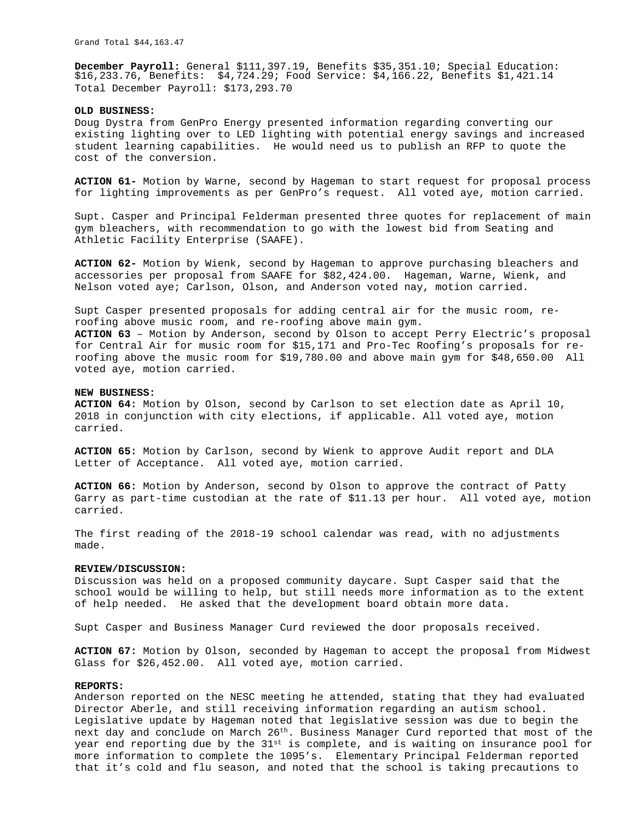**December Payroll:** General \$111,397.19, Benefits \$35,351.10; Special Education: \$16,233.76, Benefits: \$4,724.29; Food Service: \$4,166.22, Benefits \$1,421.14 Total December Payroll: \$173,293.70

### **OLD BUSINESS:**

Doug Dystra from GenPro Energy presented information regarding converting our existing lighting over to LED lighting with potential energy savings and increased student learning capabilities. He would need us to publish an RFP to quote the cost of the conversion.

**ACTION 61-** Motion by Warne, second by Hageman to start request for proposal process for lighting improvements as per GenPro's request. All voted aye, motion carried.

Supt. Casper and Principal Felderman presented three quotes for replacement of main gym bleachers, with recommendation to go with the lowest bid from Seating and Athletic Facility Enterprise (SAAFE).

**ACTION 62-** Motion by Wienk, second by Hageman to approve purchasing bleachers and accessories per proposal from SAAFE for \$82,424.00. Hageman, Warne, Wienk, and Nelson voted aye; Carlson, Olson, and Anderson voted nay, motion carried.

Supt Casper presented proposals for adding central air for the music room, reroofing above music room, and re-roofing above main gym. **ACTION 63** – Motion by Anderson, second by Olson to accept Perry Electric's proposal for Central Air for music room for \$15,171 and Pro-Tec Roofing's proposals for reroofing above the music room for \$19,780.00 and above main gym for \$48,650.00 All voted aye, motion carried.

## **NEW BUSINESS:**

**ACTION 64:** Motion by Olson, second by Carlson to set election date as April 10, 2018 in conjunction with city elections, if applicable. All voted aye, motion carried.

**ACTION 65:** Motion by Carlson, second by Wienk to approve Audit report and DLA Letter of Acceptance. All voted aye, motion carried.

**ACTION 66:** Motion by Anderson, second by Olson to approve the contract of Patty Garry as part-time custodian at the rate of \$11.13 per hour. All voted aye, motion carried.

The first reading of the 2018-19 school calendar was read, with no adjustments made.

# **REVIEW/DISCUSSION:**

Discussion was held on a proposed community daycare. Supt Casper said that the school would be willing to help, but still needs more information as to the extent of help needed. He asked that the development board obtain more data.

Supt Casper and Business Manager Curd reviewed the door proposals received.

**ACTION 67:** Motion by Olson, seconded by Hageman to accept the proposal from Midwest Glass for \$26,452.00. All voted aye, motion carried.

### **REPORTS:**

Anderson reported on the NESC meeting he attended, stating that they had evaluated Director Aberle, and still receiving information regarding an autism school. Legislative update by Hageman noted that legislative session was due to begin the next day and conclude on March 26<sup>th</sup>. Business Manager Curd reported that most of the year end reporting due by the  $31^{st}$  is complete, and is waiting on insurance pool for more information to complete the 1095's. Elementary Principal Felderman reported that it's cold and flu season, and noted that the school is taking precautions to